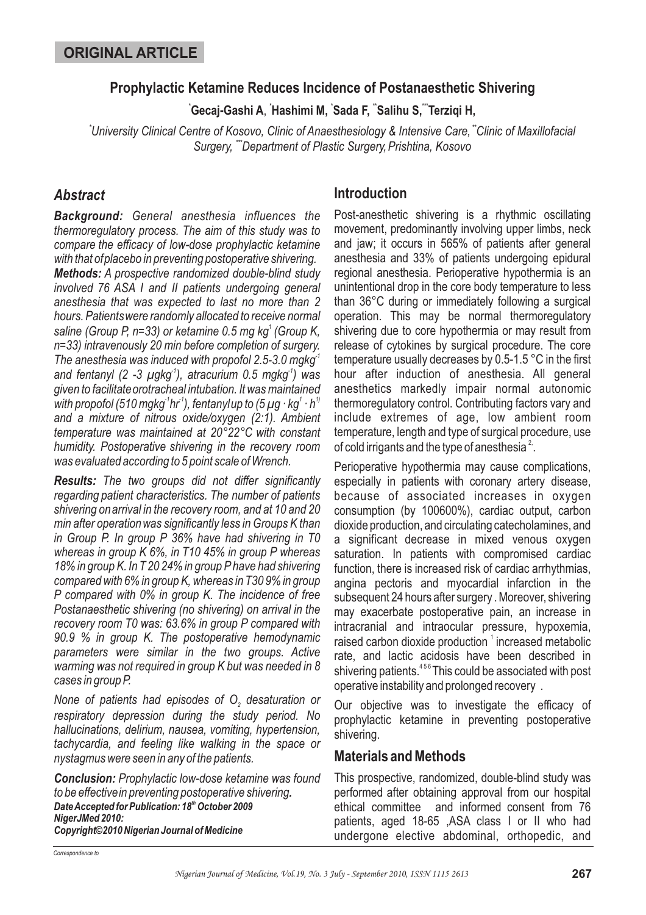#### **Prophylactic Ketamine Reduces Incidence of Postanaesthetic Shivering**

**\* \* \* \*\* \*\*\* Gecaj-Gashi A Hashimi M, Sada F, Salihu S, Terziqi H,** ,

*\* \*\* University Clinical Centre of Kosovo, Clinic of Anaesthesiology & Intensive Care, Clinic of Maxillofacial \*\*\* Surgery, Department of Plastic Surgery, Prishtina, Kosovo*

# *Abstract*

*Background: General anesthesia influences the Methods: A prospective randomized double-blind study thermoregulatory process. The aim of this study was to compare the efficacy of low-dose prophylactic ketamine with that ofplacebo in preventing postoperative shivering. involved 76 ASA I and II patients undergoing general anesthesia that was expected to last no more than 2 hours. Patientswere randomly allocated to receive normal* saline (Group P, n=33) or ketamine 0.5 mg kg<sup>1</sup> (Group K, *n=33) intravenously 20 min before completion of surgery.* The anesthesia was induced with propofol 2.5-3.0 mgkg<sup>1</sup> *and fentanyl (2 -3 µgkg ), atracurium 0.5 mgkg ) was -1 -1 given to facilitateorotracheal intubation. It was maintained* with propofol (510 mgkg<sup>-1</sup>hr $^1$ ), fentanyl up to (5  $\mu$ g · kg $^1$  · h $^1$ *and a mixture of nitrous oxide/oxygen (2:1). Ambient temperature was maintained at 20°22°C with constant humidity. Postoperative shivering in the recovery room was evaluated according to 5 point scale of Wrench.*

*Results: The two groups did not differ significantly regarding patient characteristics. The number of patients shivering onarrival in the recovery room, and at 10 and 20 min after operationwas significantly less in Groups K than in Group P. In group P 36% have had shivering in T0 whereas in group K 6%, in T10 45% in group P whereas 18% in group K. In T 20 24% in group P have had shivering compared with 6% in group K, whereas in T30 9% in group P compared with 0% in group K. The incidence of free Postanaesthetic shivering (no shivering) on arrival in the recovery room T0 was: 63.6% in group P compared with 90.9 % in group K. The postoperative hemodynamic parameters were similar in the two groups. Active warming was not required in group K but was needed in 8 cases in group P.*

*None of patients had episodes of O<sub>2</sub> desaturation or respiratory depression during the study period. No hallucinations, delirium, nausea, vomiting, hypertension, tachycardia, and feeling like walking in the space or nystagmus were seen in any of the patients.*

*Conclusion: Prophylactic low-dose ketamine was found . to be effectivein preventing postoperative shivering* **Date Accepted for Publication: 18<sup>th</sup> October 2009** *NigerJMed 2010: Copyright©2010 Nigerian Journal of Medicine*

# **Introduction**

Post-anesthetic shivering is a rhythmic oscillating movement, predominantly involving upper limbs, neck and jaw; it occurs in 565% of patients after general anesthesia and 33% of patients undergoing epidural regional anesthesia. Perioperative hypothermia is an unintentional drop in the core body temperature to less than 36°C during or immediately following a surgical operation. This may be normal thermoregulatory shivering due to core hypothermia or may result from release of cytokines by surgical procedure. The core temperature usually decreases by 0.5-1.5 °C in the first hour after induction of anesthesia. All general anesthetics markedly impair normal autonomic thermoregulatory control. Contributing factors vary and include extremes of age, low ambient room temperature, length and type of surgical procedure, use of cold irrigants and the type of anesthesia $^2$ .

Perioperative hypothermia may cause complications, especially in patients with coronary artery disease, because of associated increases in oxygen consumption (by 100600%), cardiac output, carbon dioxide production, and circulating catecholamines, and a significant decrease in mixed venous oxygen saturation. In patients with compromised cardiac function, there is increased risk of cardiac arrhythmias, angina pectoris and myocardial infarction in the subsequent 24 hours after surgery . Moreover, shivering may exacerbate postoperative pain, an increase in intracranial and intraocular pressure, hypoxemia, raised carbon dioxide production  $^1$  increased metabolic rate, and lactic acidosis have been described in shivering patients. $^{456}\rm{This}$  could be associated with post operative instability and prolonged recovery .

Our objective was to investigate the efficacy of prophylactic ketamine in preventing postoperative shivering.

### **Materials and Methods**

This prospective, randomized, double-blind study was performed after obtaining approval from our hospital ethical committee and informed consent from 76 patients, aged 18-65 ,ASA class I or II who had undergone elective abdominal, orthopedic, and

*Correspondence to*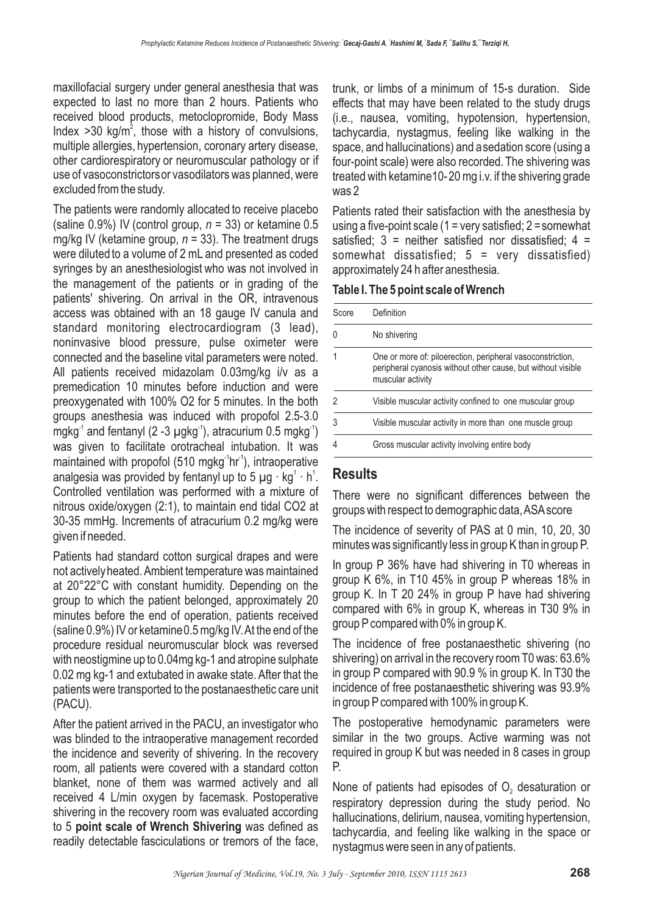maxillofacial surgery under general anesthesia that was expected to last no more than 2 hours. Patients who received blood products, metoclopromide, Body Mass Index  $>$  30 kg/m<sup>2</sup>, those with a history of convulsions, multiple allergies, hypertension, coronary artery disease, other cardiorespiratory or neuromuscular pathology or if use of vasoconstrictorsor vasodilators was planned, were excluded from the study.

The patients were randomly allocated to receive placebo (saline  $0.9\%$ ) IV (control group,  $n = 33$ ) or ketamine 0.5 mg/kg IV (ketamine group,  $n = 33$ ). The treatment drugs were diluted to a volume of 2 mL and presented as coded syringes by an anesthesiologist who was not involved in the management of the patients or in grading of the patients' shivering. On arrival in the OR, intravenous access was obtained with an 18 gauge IV canula and standard monitoring electrocardiogram (3 lead), noninvasive blood pressure, pulse oximeter were connected and the baseline vital parameters were noted. All patients received midazolam 0.03mg/kg i/v as a premedication 10 minutes before induction and were preoxygenated with 100% O2 for 5 minutes. In the both groups anesthesia was induced with propofol 2.5-3.0 mgkg $^1$  and fentanyl (2 -3  $\mu$ gkg $^1$ ), atracurium 0.5 mgkg $^1)$ was given to facilitate orotracheal intubation. It was maintained with propofol (510 mgkg<sup>-1</sup>hr<sup>-1</sup>), intraoperative analgesia was provided by fentanyl up to 5  $\mu$ g · kg $^{\text{1}}$  · h $^{\text{1}}$ . Controlled ventilation was performed with a mixture of nitrous oxide/oxygen (2:1), to maintain end tidal CO2 at 30-35 mmHg. Increments of atracurium 0.2 mg/kg were given if needed.

Patients had standard cotton surgical drapes and were not activelyheated. Ambient temperature was maintained at 20°22°C with constant humidity. Depending on the group to which the patient belonged, approximately 20 minutes before the end of operation, patients received (saline 0.9%) IV or ketamine0.5 mg/kg IV.At the end of the procedure residual neuromuscular block was reversed with neostigmine up to 0.04mg kg-1 and atropine sulphate 0.02 mg kg-1 and extubated in awake state. After that the patients were transported to the postanaesthetic care unit (PACU).

After the patient arrived in the PACU, an investigator who was blinded to the intraoperative management recorded the incidence and severity of shivering. In the recovery room, all patients were covered with a standard cotton blanket, none of them was warmed actively and all received 4 L/min oxygen by facemask. Postoperative shivering in the recovery room was evaluated according to 5 point scale of Wrench Shivering was defined as readily detectable fasciculations or tremors of the face,

trunk, or limbs of a minimum of 15-s duration. Side effects that may have been related to the study drugs (i.e., nausea, vomiting, hypotension, hypertension, tachycardia, nystagmus, feeling like walking in the space, and hallucinations) and asedation score (using a four-point scale) were also recorded. The shivering was treated with ketamine10-20 mg i.v. if the shivering grade was 2

Patients rated their satisfaction with the anesthesia by using a five-point scale (1 = very satisfied;  $2 =$  somewhat satisfied:  $3$  = neither satisfied nor dissatisfied:  $4$  = somewhat dissatisfied; 5 = very dissatisfied) approximately 24 h after anesthesia.

**Table I. The 5 point scale of Wrench**

| Score | Definition                                                                                                                                      |
|-------|-------------------------------------------------------------------------------------------------------------------------------------------------|
|       | No shivering                                                                                                                                    |
|       | One or more of: piloerection, peripheral vasoconstriction,<br>peripheral cyanosis without other cause, but without visible<br>muscular activity |
|       | Visible muscular activity confined to one muscular group                                                                                        |
| 3     | Visible muscular activity in more than one muscle group                                                                                         |
|       | Gross muscular activity involving entire body                                                                                                   |

### **Results**

There were no significant differences between the groups with respect to demographic data,ASAscore

The incidence of severity of PAS at 0 min, 10, 20, 30 minutes was significantly less in group K than in group P.

In group P 36% have had shivering in T0 whereas in group K 6%, in T10 45% in group P whereas 18% in group K. In T 20 24% in group P have had shivering compared with 6% in group K, whereas in T30 9% in group P compared with 0% in group K.

The incidence of free postanaesthetic shivering (no shivering) on arrival in the recovery room T0 was: 63.6% in group P compared with 90.9 % in group K. In T30 the incidence of free postanaesthetic shivering was 93.9% in group P compared with 100% in group K.

The postoperative hemodynamic parameters were similar in the two groups. Active warming was not required in group K but was needed in 8 cases in group P.

None of patients had episodes of  $O<sub>2</sub>$  desaturation or respiratory depression during the study period. No hallucinations, delirium, nausea, vomiting hypertension, tachycardia, and feeling like walking in the space or nystagmus were seen in any of patients.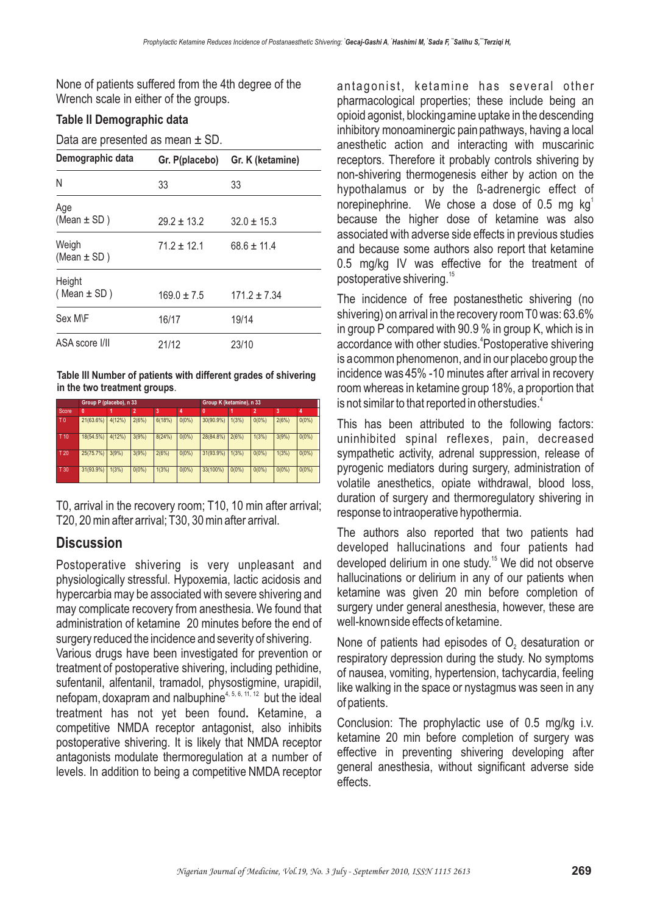None of patients suffered from the 4th degree of the Wrench scale in either of the groups.

#### **Table II Demographic data**

Data are presented as mean ± SD.

| Demographic data          | Gr. P(placebo)  | Gr. K (ketamine)<br>33 |  |  |
|---------------------------|-----------------|------------------------|--|--|
| N                         | 33              |                        |  |  |
| Age<br>(Mean $\pm$ SD)    | $29.2 \pm 13.2$ | $32.0 \pm 15.3$        |  |  |
| Weigh<br>(Mean $\pm$ SD)  | $71.2 \pm 12.1$ | $68.6 \pm 11.4$        |  |  |
| Height<br>(Mean $\pm$ SD) | $169.0 \pm 7.5$ | $171.2 \pm 7.34$       |  |  |
| Sex M\F                   | 16/17           | 19/14                  |  |  |
| ASA score I/II            | 21/12           | 23/10                  |  |  |

**Table III Number of patients with different grades of shivering in the two treatment groups**.

|                 | Group P (placebo), n 33 |        |                |        |          | Group K (ketamine), n 33 |          |          |          |          |
|-----------------|-------------------------|--------|----------------|--------|----------|--------------------------|----------|----------|----------|----------|
| Score           | 0                       |        | $\overline{2}$ | 3      | 4        | $\mathbf{0}$             |          | 2        | 3        | 4        |
| T <sub>0</sub>  | 21(63.6%)               | 4(12%) | 2(6%)          | 6(18%) | $0(0\%)$ | 30(90.9%)                | 1(3%)    | $0(0\%)$ | 2(6%)    | $0(0\%)$ |
| T <sub>10</sub> | 18(54.5%)               | 4(12%) | 3(9%)          | 8(24%) | $0(0\%)$ | 28(84.8%)                | 2(6%)    | 1(3%)    | 3(9%)    | $0(0\%)$ |
| T 20            | 25(75.7%)               | 3(9%)  | 3(9%)          | 2(6%)  | $0(0\%)$ | 31(93.9%)                | 1(3%)    | $0(0\%)$ | 1(3%)    | $0(0\%)$ |
| T 30            | 31(93.9%)               | 1(3%)  | $0(0\%)$       | 1(3%)  | $0(0\%)$ | 33(100%)                 | $0(0\%)$ | $0(0\%)$ | $0(0\%)$ | $0(0\%)$ |

T0, arrival in the recovery room; T10, 10 min after arrival; T20, 20 min after arrival; T30, 30 min after arrival.

# **Discussion**

Postoperative shivering is very unpleasant and physiologically stressful. Hypoxemia, lactic acidosis and hypercarbia may be associated with severe shivering and may complicate recovery from anesthesia. We found that administration of ketamine 20 minutes before the end of surgery reduced the incidence and severity of shivering.

Various drugs have been investigated for prevention or treatment of postoperative shivering, including pethidine, sufentanil, alfentanil, tramadol, physostigmine, urapidil, nefopam, doxapram and nalbuphine<sup>4, 5, 6, 11, 12</sup> but the ideal treatment has not yet been found. Ketamine, a competitive NMDA receptor antagonist, also inhibits postoperative shivering. It is likely that NMDA receptor antagonists modulate thermoregulation at a number of levels. In addition to being a competitive NMDA receptor

antagonist, ketamine has several other pharmacological properties; these include being an opioid agonist, blockingamine uptake in the descending inhibitory monoaminergic painpathways, having a local anesthetic action and interacting with muscarinic receptors. Therefore it probably controls shivering by non-shivering thermogenesis either by action on the hypothalamus or by the ß-adrenergic effect of norepinephrine. We chose a dose of 0.5 mg  $kg<sup>1</sup>$ because the higher dose of ketamine was also associated with adverse side effects in previous studies and because some authors also report that ketamine 0.5 mg/kg IV was effective for the treatment of postoperative shivering. 15

The incidence of free postanesthetic shivering (no shivering) on arrival in the recovery room T0 was: 63.6% in group P compared with 90.9 % in group K, which is in accordance with other studies.<sup>4</sup>Postoperative shivering is acommon phenomenon, and in our placebo group the incidence was 45% -10 minutes after arrival in recovery room whereas in ketamine group 18%, a proportion that is not similar to that reported in other studies. $^{\textrm{\tiny{\textup{4}}}}$ 

This has been attributed to the following factors: uninhibited spinal reflexes, pain, decreased sympathetic activity, adrenal suppression, release of pyrogenic mediators during surgery, administration of volatile anesthetics, opiate withdrawal, blood loss, duration of surgery and thermoregulatory shivering in response to intraoperative hypothermia.

The authors also reported that two patients had developed hallucinations and four patients had developed delirium in one study.<sup>15</sup> We did not observe hallucinations or delirium in any of our patients when ketamine was given 20 min before completion of surgery under general anesthesia, however, these are well-knownside effects of ketamine.

None of patients had episodes of  $\mathsf{O}_2$  desaturation or respiratory depression during the study. No symptoms of nausea, vomiting, hypertension, tachycardia, feeling like walking in the space or nystagmus was seen in any of patients.

Conclusion: The prophylactic use of 0.5 mg/kg i.v. ketamine 20 min before completion of surgery was effective in preventing shivering developing after general anesthesia, without significant adverse side effects.